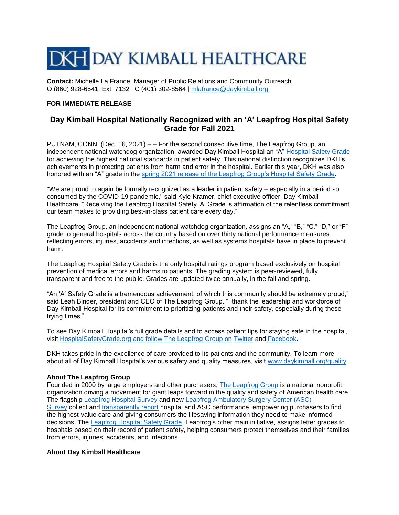# **DKH DAY KIMBALL HEALTHCARE**

**Contact:** Michelle La France, Manager of Public Relations and Community Outreach O (860) 928-6541, Ext. 7132 | C (401) 302-8564 | [mlafrance@daykimball.org](mailto:mlafrance@daykimball.org)

### **FOR IMMEDIATE RELEASE**

## **Day Kimball Hospital Nationally Recognized with an 'A' Leapfrog Hospital Safety Grade for Fall 2021**

PUTNAM, CONN. (Dec. 16, 2021) – – For the second consecutive time, The Leapfrog Group, an independent national watchdog organization, awarded Day Kimball Hospital an "A" [Hospital Safety Grade](https://www.hospitalsafetygrade.org/) for achieving the highest national standards in patient safety. This national distinction recognizes DKH's achievements in protecting patients from harm and error in the hospital. Earlier this year, DKH was also honored with an "A" grade in the [spring 2021 release of the Leapfrog Group's Hospital Safety Grade.](https://www.daykimball.org/day-kimball-hospital-earns-national-recognition-for-quality-and-patient-safety-from-top-ratings-organizations/)

"We are proud to again be formally recognized as a leader in patient safety – especially in a period so consumed by the COVID-19 pandemic," said Kyle Kramer, chief executive officer, Day Kimball Healthcare. "Receiving the Leapfrog Hospital Safety 'A' Grade is affirmation of the relentless commitment our team makes to providing best-in-class patient care every day."

The Leapfrog Group, an independent national watchdog organization, assigns an "A," "B," "C," "D," or "F" grade to general hospitals across the country based on over thirty national performance measures reflecting errors, injuries, accidents and infections, as well as systems hospitals have in place to prevent harm.

The Leapfrog Hospital Safety Grade is the only hospital ratings program based exclusively on hospital prevention of medical errors and harms to patients. The grading system is peer-reviewed, fully transparent and free to the public. Grades are updated twice annually, in the fall and spring.

"An 'A' Safety Grade is a tremendous achievement, of which this community should be extremely proud," said Leah Binder, president and CEO of The Leapfrog Group. "I thank the leadership and workforce of Day Kimball Hospital for its commitment to prioritizing patients and their safety, especially during these trying times."

To see Day Kimball Hospital's full grade details and to access patient tips for staying safe in the hospital, visit [HospitalSafetyGrade.org](http://hospitalsafetygrade.org/) and follow The Leapfrog Group on [Twitter](https://twitter.com/LeapfrogGroup) and [Facebook.](https://www.facebook.com/TheLeapfrogGroup/)

DKH takes pride in the excellence of care provided to its patients and the community. To learn more about all of Day Kimball Hospital's various safety and quality measures, visit [www.daykimball.org/quality.](http://www.daykimball.org/quality)

#### **About The Leapfrog Group**

Founded in 2000 by large employers and other purchasers, [The Leapfrog Group](https://c212.net/c/link/?t=0&l=en&o=3296256-1&h=2780019392&u=https%3A%2F%2Fwww.leapfroggroup.org%2F&a=The+Leapfrog+Group) is a national nonprofit organization driving a movement for giant leaps forward in the quality and safety of American health care. The flagship [Leapfrog Hospital Survey](https://c212.net/c/link/?t=0&l=en&o=3296256-1&h=906739319&u=https%3A%2F%2Fwww.leapfroggroup.org%2Fsurvey-materials%2Fsurvey-login-and-materials&a=Leapfrog+Hospital+Survey) and new [Leapfrog Ambulatory Surgery Center \(ASC\)](https://c212.net/c/link/?t=0&l=en&o=3296256-1&h=2417882682&u=http%3A%2F%2Fwww.leapfroggroup.org%2Fasc&a=Leapfrog+Ambulatory+Surgery+Center+(ASC)+Survey)  [Survey](https://c212.net/c/link/?t=0&l=en&o=3296256-1&h=2417882682&u=http%3A%2F%2Fwww.leapfroggroup.org%2Fasc&a=Leapfrog+Ambulatory+Surgery+Center+(ASC)+Survey) collect and [transparently report](https://c212.net/c/link/?t=0&l=en&o=3296256-1&h=1825536576&u=https%3A%2F%2Fratings.leapfroggroup.org%2F&a=transparently+report) hospital and ASC performance, empowering purchasers to find the highest-value care and giving consumers the lifesaving information they need to make informed decisions. The [Leapfrog Hospital Safety Grade,](https://c212.net/c/link/?t=0&l=en&o=3296256-1&h=2825901247&u=https%3A%2F%2Fwww.hospitalsafetygrade.org%2F&a=Leapfrog+Hospital+Safety+Grade) Leapfrog's other main initiative, assigns letter grades to hospitals based on their record of patient safety, helping consumers protect themselves and their families from errors, injuries, accidents, and infections.

#### **About Day Kimball Healthcare**